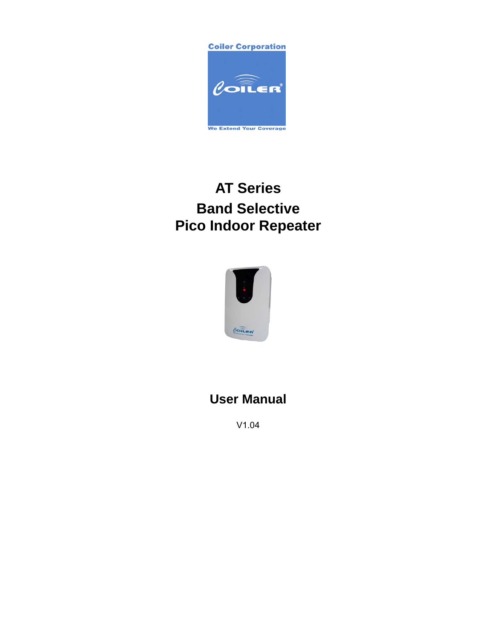**Coiler Corporation** 



# **AT Series Band Selective Pico Indoor Repeater**



## **User Manual**

V1.04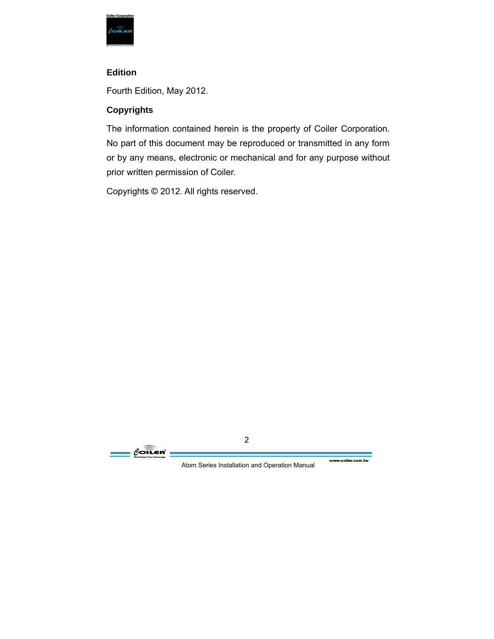

#### **Edition**

Fourth Edition, May 2012.

#### **Copyrights**

The information contained herein is the property of Coiler Corporation. No part of this document may be reproduced or transmitted in any form or by any means, electronic or mechanical and for any purpose without prior written permission of Coiler.

Copyrights © 2012. All rights reserved.

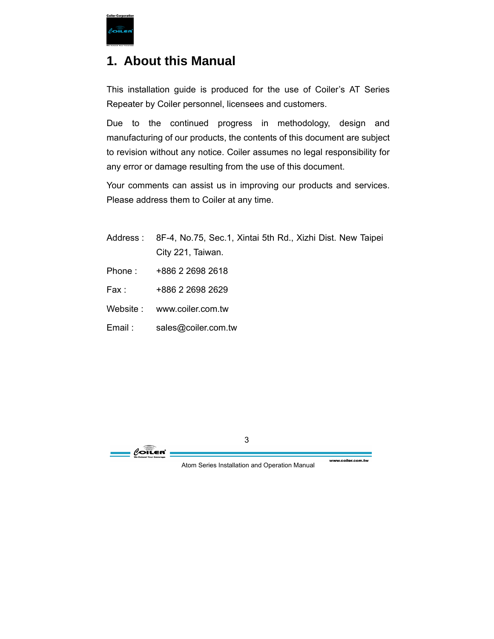

### **1. About this Manual**

This installation guide is produced for the use of Coiler's AT Series Repeater by Coiler personnel, licensees and customers.

Due to the continued progress in methodology, design and manufacturing of our products, the contents of this document are subject to revision without any notice. Coiler assumes no legal responsibility for any error or damage resulting from the use of this document.

Your comments can assist us in improving our products and services. Please address them to Coiler at any time.

- Address : 8F-4, No.75, Sec.1, Xintai 5th Rd., Xizhi Dist. New Taipei City 221, Taiwan.
- Phone : +886 2 2698 2618
- Fax : +886 2 2698 2629
- Website : www.coiler.com.tw
- Email : sales@coiler.com.tw

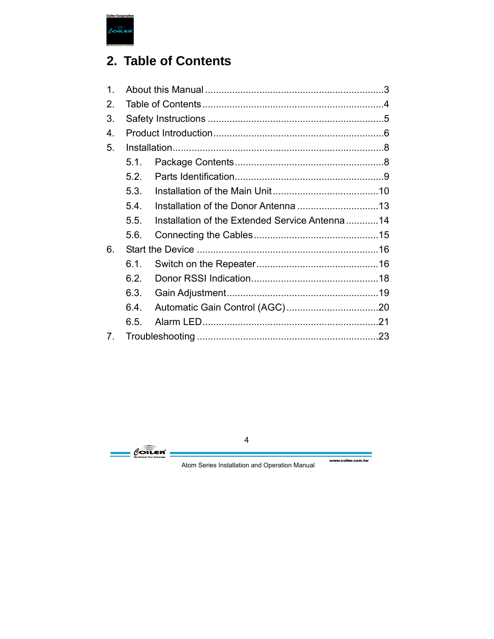

## **2. Table of Contents**

| $1_{\cdot}$ |      |                                                |  |  |
|-------------|------|------------------------------------------------|--|--|
| 2.          |      |                                                |  |  |
| 3.          |      |                                                |  |  |
| 4.          |      |                                                |  |  |
| 5.          |      |                                                |  |  |
|             | 5.1. |                                                |  |  |
|             | 5.2. |                                                |  |  |
|             | 5.3. |                                                |  |  |
|             | 5.4. |                                                |  |  |
|             | 5.5. | Installation of the Extended Service Antenna14 |  |  |
|             | 5.6. |                                                |  |  |
| 6.          |      |                                                |  |  |
|             | 6.1. |                                                |  |  |
|             | 6.2. |                                                |  |  |
|             | 6.3. |                                                |  |  |
|             | 6.4. |                                                |  |  |
|             | 6.5. |                                                |  |  |
| 7.          |      |                                                |  |  |

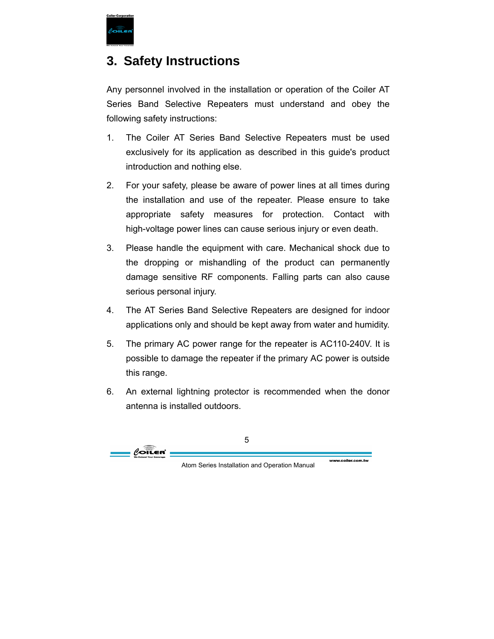

### **3. Safety Instructions**

Any personnel involved in the installation or operation of the Coiler AT Series Band Selective Repeaters must understand and obey the following safety instructions:

- 1. The Coiler AT Series Band Selective Repeaters must be used exclusively for its application as described in this guide's product introduction and nothing else.
- 2. For your safety, please be aware of power lines at all times during the installation and use of the repeater. Please ensure to take appropriate safety measures for protection. Contact with high-voltage power lines can cause serious injury or even death.
- 3. Please handle the equipment with care. Mechanical shock due to the dropping or mishandling of the product can permanently damage sensitive RF components. Falling parts can also cause serious personal injury.
- 4. The AT Series Band Selective Repeaters are designed for indoor applications only and should be kept away from water and humidity.
- 5. The primary AC power range for the repeater is AC110-240V. It is possible to damage the repeater if the primary AC power is outside this range.
- 6. An external lightning protector is recommended when the donor antenna is installed outdoors.

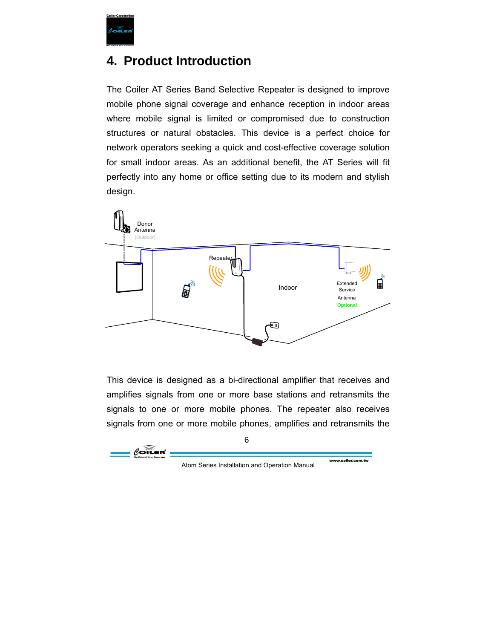

### **4. Product Introduction**

The Coiler AT Series Band Selective Repeater is designed to improve mobile phone signal coverage and enhance reception in indoor areas where mobile signal is limited or compromised due to construction structures or natural obstacles. This device is a perfect choice for network operators seeking a quick and cost-effective coverage solution for small indoor areas. As an additional benefit, the AT Series will fit perfectly into any home or office setting due to its modern and stylish design.



This device is designed as a bi-directional amplifier that receives and amplifies signals from one or more base stations and retransmits the signals to one or more mobile phones. The repeater also receives signals from one or more mobile phones, amplifies and retransmits the



www.coiler.com.tw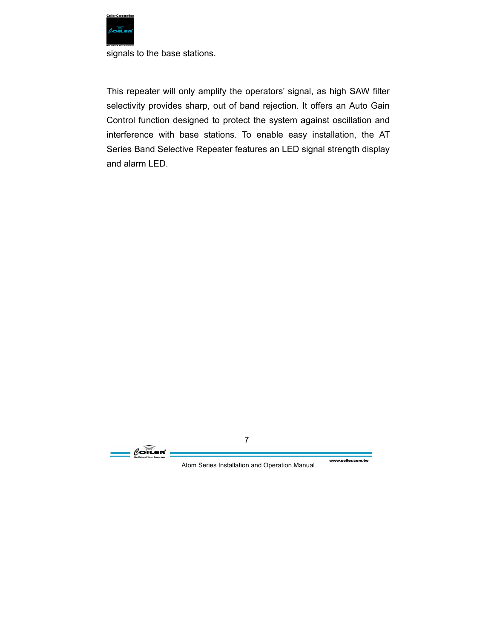

signals to the base stations.

This repeater will only amplify the operators' signal, as high SAW filter selectivity provides sharp, out of band rejection. It offers an Auto Gain Control function designed to protect the system against oscillation and interference with base stations. To enable easy installation, the AT Series Band Selective Repeater features an LED signal strength display and alarm LED.



www.coiler.com.tw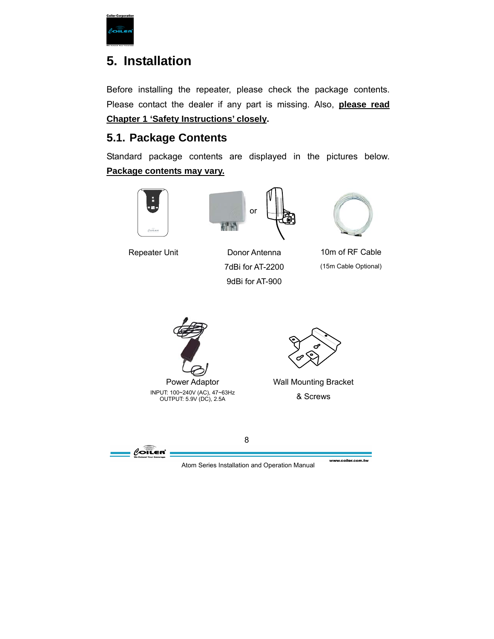

## **5. Installation**

Before installing the repeater, please check the package contents. Please contact the dealer if any part is missing. Also, **please read Chapter 1 'Safety Instructions' closely.**

### **5.1. Package Contents**

Standard package contents are displayed in the pictures below. **Package contents may vary.**





8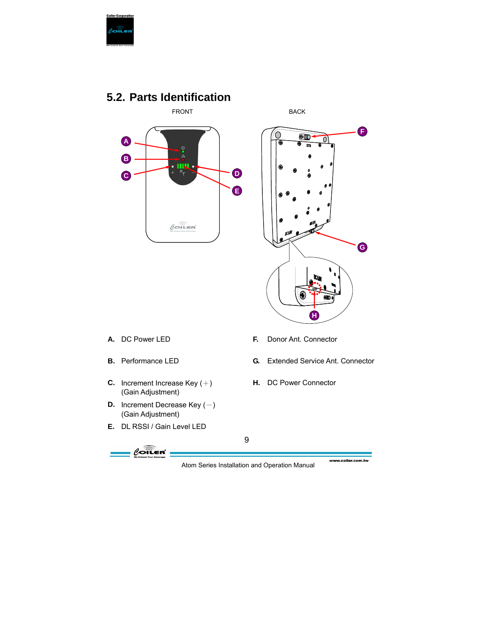

### **5.2. Parts Identification**





- 
- 
- **C.** Increment Increase Key (+) (Gain Adjustment)
- **D.** Increment Decrease Key  $(-)$ (Gain Adjustment)
- **E.** DL RSSI / Gain Level LED



- **A.** DC Power LED **F.** Donor Ant. Connector
- **B.** Performance LED **G.** Extended Service Ant. Connector
	- **H.** DC Power Connector

9

Atom Series Installation and Operation Manual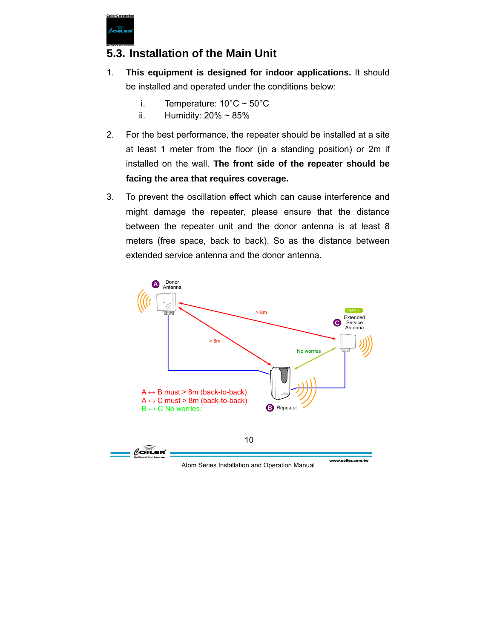

### **5.3. Installation of the Main Unit**

- 1. **This equipment is designed for indoor applications.** It should be installed and operated under the conditions below:
	- i. Temperature:  $10^{\circ}$ C ~  $50^{\circ}$ C
	- ii. Humidity:  $20\% \sim 85\%$
- 2. For the best performance, the repeater should be installed at a site at least 1 meter from the floor (in a standing position) or 2m if installed on the wall. **The front side of the repeater should be facing the area that requires coverage.**
- 3. To prevent the oscillation effect which can cause interference and might damage the repeater, please ensure that the distance between the repeater unit and the donor antenna is at least 8 meters (free space, back to back). So as the distance between extended service antenna and the donor antenna.



Atom Series Installation and Operation Manual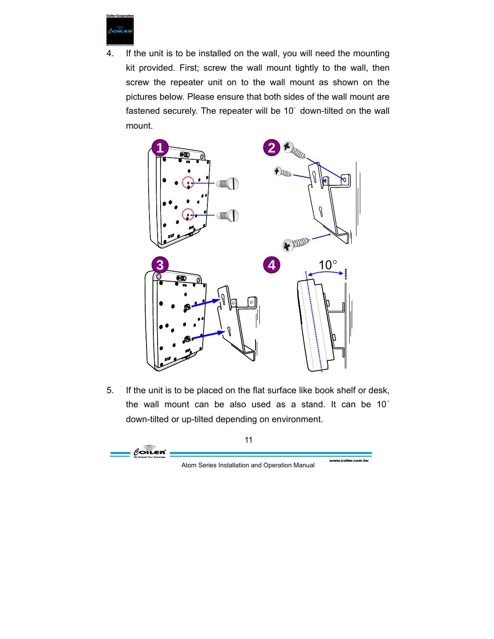

4. If the unit is to be installed on the wall, you will need the mounting kit provided. First; screw the wall mount tightly to the wall, then screw the repeater unit on to the wall mount as shown on the pictures below. Please ensure that both sides of the wall mount are fastened securely. The repeater will be 10° down-tilted on the wall mount.



5. If the unit is to be placed on the flat surface like book shelf or desk, the wall mount can be also used as a stand. It can be 10° down-tilted or up-tilted depending on environment.

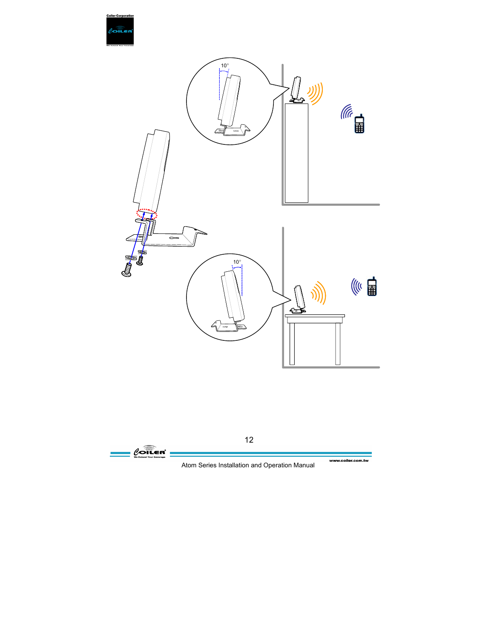



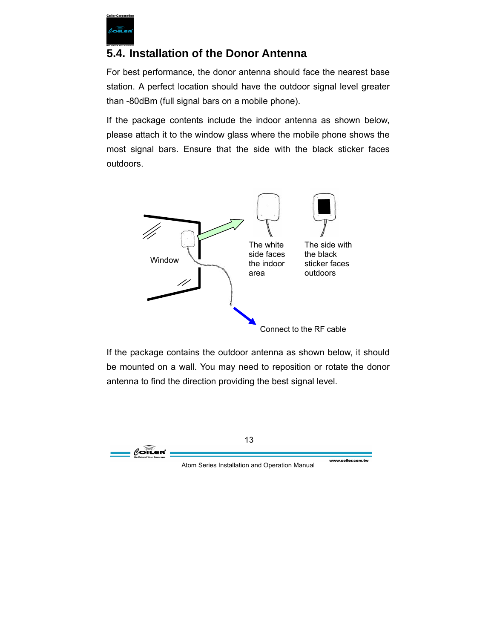

### **5.4. Installation of the Donor Antenna**

For best performance, the donor antenna should face the nearest base station. A perfect location should have the outdoor signal level greater than -80dBm (full signal bars on a mobile phone).

If the package contents include the indoor antenna as shown below, please attach it to the window glass where the mobile phone shows the most signal bars. Ensure that the side with the black sticker faces outdoors.



If the package contains the outdoor antenna as shown below, it should be mounted on a wall. You may need to reposition or rotate the donor antenna to find the direction providing the best signal level.

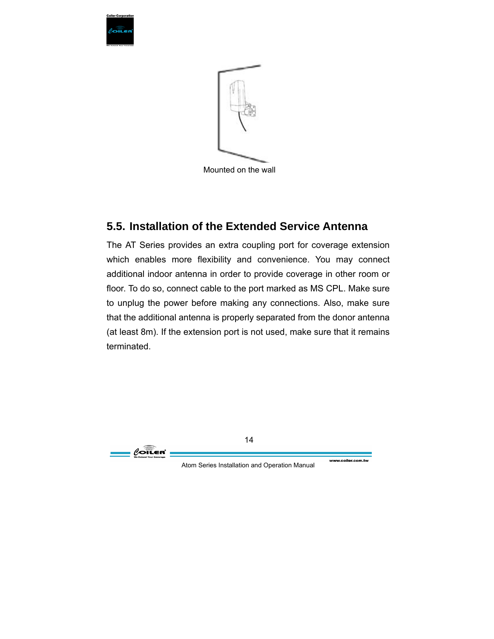



Mounted on the wall

#### **5.5. Installation of the Extended Service Antenna**

The AT Series provides an extra coupling port for coverage extension which enables more flexibility and convenience. You may connect additional indoor antenna in order to provide coverage in other room or floor. To do so, connect cable to the port marked as MS CPL. Make sure to unplug the power before making any connections. Also, make sure that the additional antenna is properly separated from the donor antenna (at least 8m). If the extension port is not used, make sure that it remains terminated.

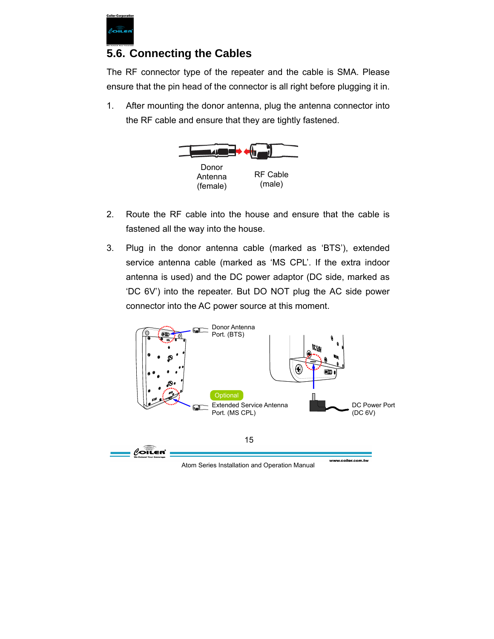

#### **5.6. Connecting the Cables**

The RF connector type of the repeater and the cable is SMA. Please ensure that the pin head of the connector is all right before plugging it in.

1. After mounting the donor antenna, plug the antenna connector into the RF cable and ensure that they are tightly fastened.



- 2. Route the RF cable into the house and ensure that the cable is fastened all the way into the house.
- 3. Plug in the donor antenna cable (marked as 'BTS'), extended service antenna cable (marked as 'MS CPL'. If the extra indoor antenna is used) and the DC power adaptor (DC side, marked as 'DC 6V') into the repeater. But DO NOT plug the AC side power connector into the AC power source at this moment.



Atom Series Installation and Operation Manual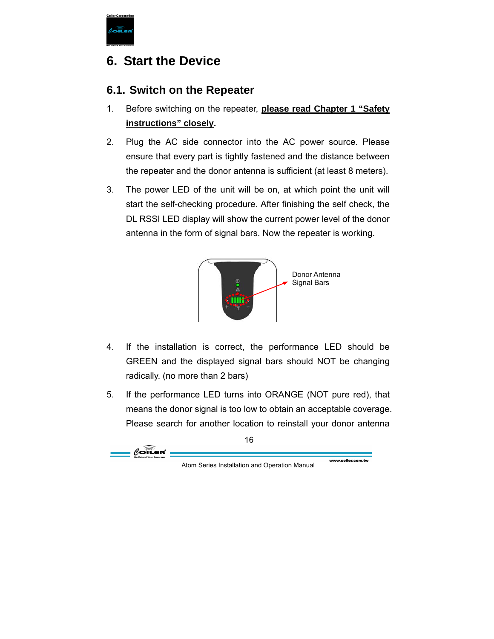

## **6. Start the Device**

### **6.1. Switch on the Repeater**

- 1. Before switching on the repeater, **please read Chapter 1 "Safety instructions" closely.**
- 2. Plug the AC side connector into the AC power source. Please ensure that every part is tightly fastened and the distance between the repeater and the donor antenna is sufficient (at least 8 meters).
- 3. The power LED of the unit will be on, at which point the unit will start the self-checking procedure. After finishing the self check, the DL RSSI LED display will show the current power level of the donor antenna in the form of signal bars. Now the repeater is working.



- 4. If the installation is correct, the performance LED should be GREEN and the displayed signal bars should NOT be changing radically. (no more than 2 bars)
- 5. If the performance LED turns into ORANGE (NOT pure red), that means the donor signal is too low to obtain an acceptable coverage. Please search for another location to reinstall your donor antenna

www.coiler.com.tw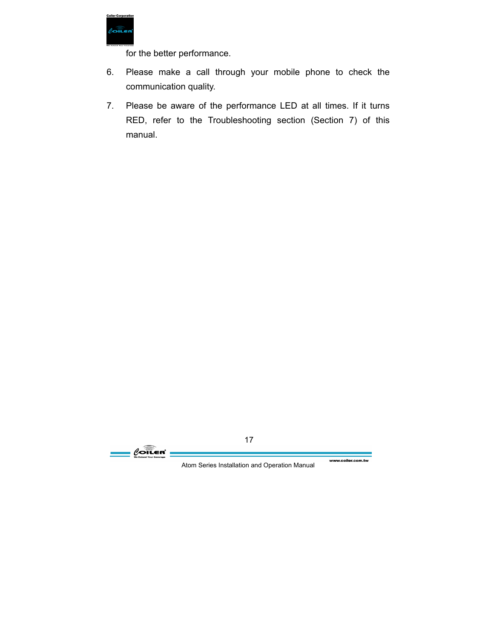

for the better performance.

- 6. Please make a call through your mobile phone to check the communication quality.
- 7. Please be aware of the performance LED at all times. If it turns RED, refer to the Troubleshooting section (Section 7) of this manual.

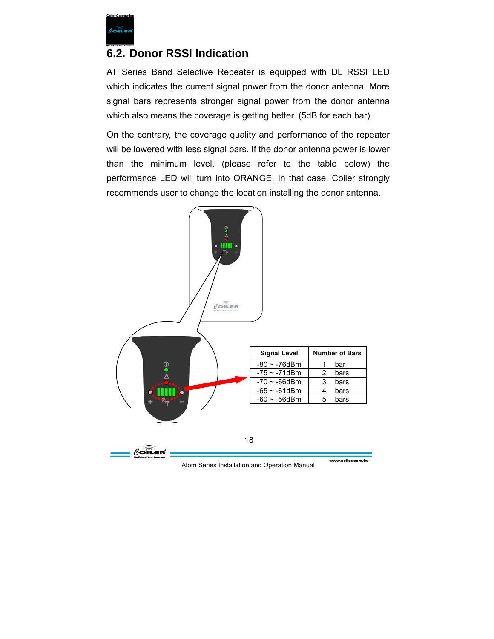

#### **6.2. Donor RSSI Indication**

AT Series Band Selective Repeater is equipped with DL RSSI LED which indicates the current signal power from the donor antenna. More signal bars represents stronger signal power from the donor antenna which also means the coverage is getting better. (5dB for each bar)

On the contrary, the coverage quality and performance of the repeater will be lowered with less signal bars. If the donor antenna power is lower than the minimum level, (please refer to the table below) the performance LED will turn into ORANGE. In that case, Coiler strongly recommends user to change the location installing the donor antenna.



Atom Series Installation and Operation Manual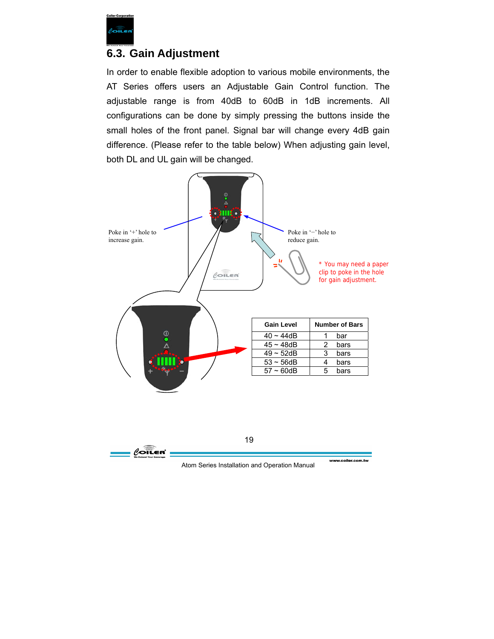

#### **6.3. Gain Adjustment**

In order to enable flexible adoption to various mobile environments, the AT Series offers users an Adjustable Gain Control function. The adjustable range is from 40dB to 60dB in 1dB increments. All configurations can be done by simply pressing the buttons inside the small holes of the front panel. Signal bar will change every 4dB gain difference. (Please refer to the table below) When adjusting gain level, both DL and UL gain will be changed.

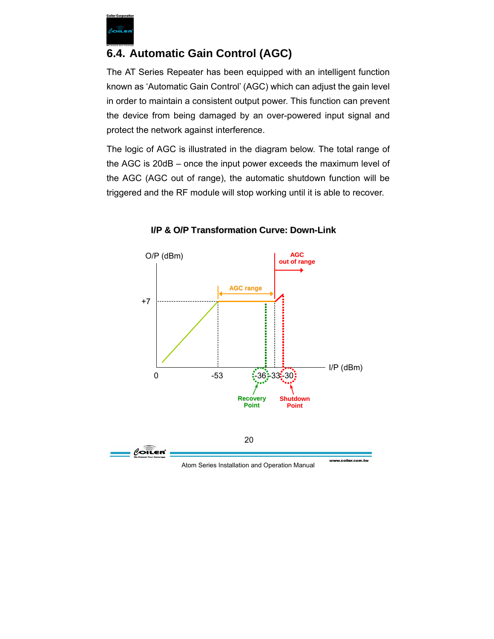

### **6.4. Automatic Gain Control (AGC)**

The AT Series Repeater has been equipped with an intelligent function known as 'Automatic Gain Control' (AGC) which can adjust the gain level in order to maintain a consistent output power. This function can prevent the device from being damaged by an over-powered input signal and protect the network against interference.

The logic of AGC is illustrated in the diagram below. The total range of the AGC is 20dB – once the input power exceeds the maximum level of the AGC (AGC out of range), the automatic shutdown function will be triggered and the RF module will stop working until it is able to recover.





Atom Series Installation and Operation Manual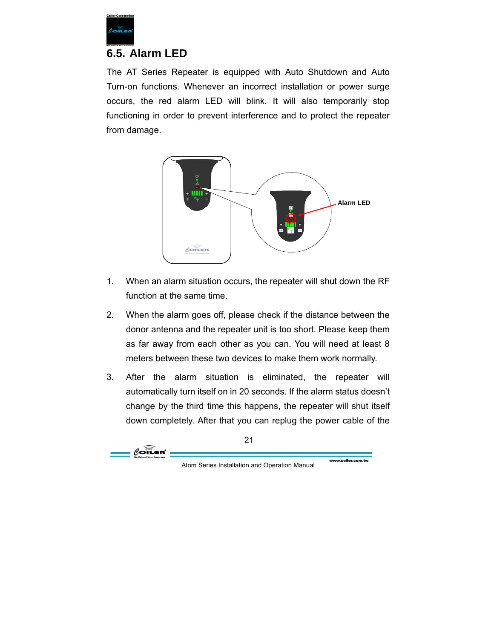

#### **6.5. Alarm LED**

The AT Series Repeater is equipped with Auto Shutdown and Auto Turn-on functions. Whenever an incorrect installation or power surge occurs, the red alarm LED will blink. It will also temporarily stop functioning in order to prevent interference and to protect the repeater from damage.



- 1. When an alarm situation occurs, the repeater will shut down the RF function at the same time.
- 2. When the alarm goes off, please check if the distance between the donor antenna and the repeater unit is too short. Please keep them as far away from each other as you can. You will need at least 8 meters between these two devices to make them work normally.
- 3. After the alarm situation is eliminated, the repeater will automatically turn itself on in 20 seconds. If the alarm status doesn't change by the third time this happens, the repeater will shut itself down completely. After that you can replug the power cable of the

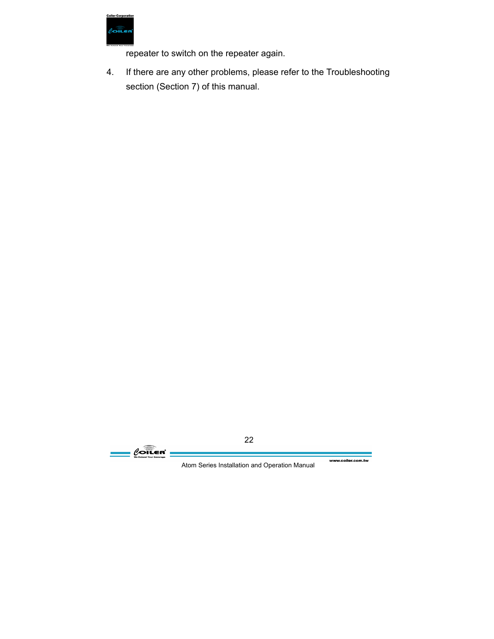

repeater to switch on the repeater again.

4. If there are any other problems, please refer to the Troubleshooting section (Section 7) of this manual.

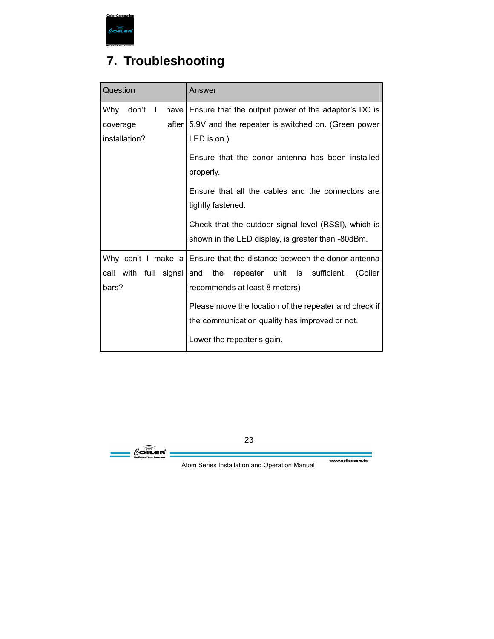

## **7. Troubleshooting**

| Question              | Answer                                                                                                    |
|-----------------------|-----------------------------------------------------------------------------------------------------------|
| Why don't I           | have Ensure that the output power of the adaptor's DC is                                                  |
| after<br>coverage     | 5.9V and the repeater is switched on. (Green power                                                        |
| installation?         | LED is on.)                                                                                               |
|                       | Ensure that the donor antenna has been installed<br>properly.                                             |
|                       | Ensure that all the cables and the connectors are<br>tightly fastened.                                    |
|                       | Check that the outdoor signal level (RSSI), which is<br>shown in the LED display, is greater than -80dBm. |
|                       | Why can't I make $a$ Ensure that the distance between the donor antenna                                   |
| call with full signal | repeater unit is sufficient.<br>(Coiler<br>and<br>the                                                     |
| bars?                 | recommends at least 8 meters)                                                                             |
|                       | Please move the location of the repeater and check if                                                     |
|                       | the communication quality has improved or not.                                                            |
|                       | Lower the repeater's gain.                                                                                |